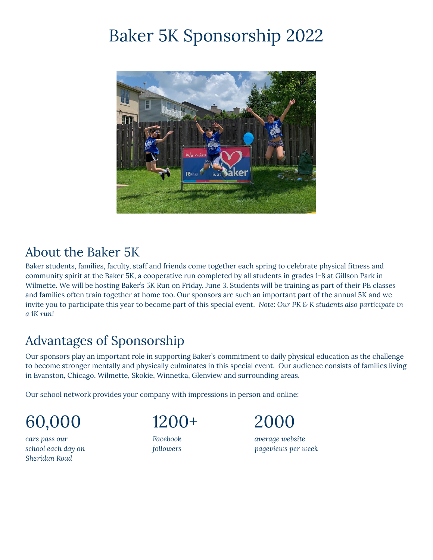## Baker 5K Sponsorship 2022



## About the Baker 5K

Baker students, families, faculty, staff and friends come together each spring to celebrate physical fitness and community spirit at the Baker 5K, a cooperative run completed by all students in grades 1-8 at Gillson Park in Wilmette. We will be hosting Baker's 5K Run on Friday, June 3. Students will be training as part of their PE classes and families often train together at home too. Our sponsors are such an important part of the annual 5K and we invite you to participate this year to become part of this special event. *Note: Our PK & K students also participate in a 1K run!*

## Advantages of Sponsorship

Our sponsors play an important role in supporting Baker's commitment to daily physical education as the challenge to become stronger mentally and physically culminates in this special event. Our audience consists of families living in Evanston, Chicago, Wilmette, Skokie, Winnetka, Glenview and surrounding areas.

Our school network provides your company with impressions in person and online:

60,000 1200+ 2000

*Sheridan Road*



*cars pass our Facebook average website school each day on followers pageviews per week*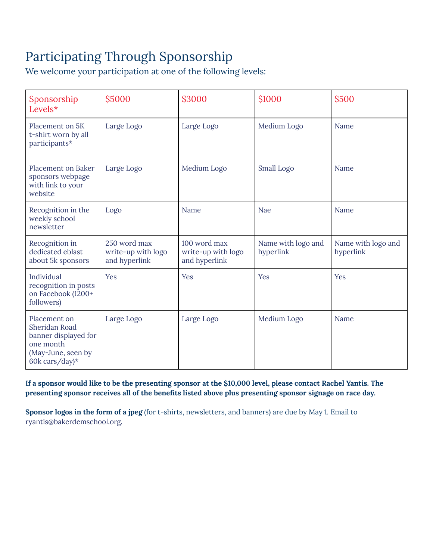## Participating Through Sponsorship

We welcome your participation at one of the following levels:

| Sponsorship<br>Levels $*$                                                                                  | \$5000                                              | \$3000                                              | \$1000                          | \$500                           |
|------------------------------------------------------------------------------------------------------------|-----------------------------------------------------|-----------------------------------------------------|---------------------------------|---------------------------------|
| Placement on 5K<br>t-shirt worn by all<br>participants*                                                    | Large Logo                                          | Large Logo                                          | Medium Logo                     | Name                            |
| <b>Placement on Baker</b><br>sponsors webpage<br>with link to your<br>website                              | Large Logo                                          | Medium Logo                                         | Small Logo                      | Name                            |
| Recognition in the<br>weekly school<br>newsletter                                                          | Logo                                                | Name                                                | Nae                             | Name                            |
| Recognition in<br>dedicated eblast<br>about 5k sponsors                                                    | 250 word max<br>write-up with logo<br>and hyperlink | 100 word max<br>write-up with logo<br>and hyperlink | Name with logo and<br>hyperlink | Name with logo and<br>hyperlink |
| Individual<br>recognition in posts<br>on Facebook (1200+<br>followers)                                     | Yes                                                 | Yes                                                 | Yes                             | Yes                             |
| Placement on<br>Sheridan Road<br>banner displayed for<br>one month<br>(May-June, seen by<br>60k cars/day)* | Large Logo                                          | Large Logo                                          | Medium Logo                     | Name                            |

If a sponsor would like to be the presenting sponsor at the \$10,000 level, please contact Rachel Yantis. The **presenting sponsor receives all of the benefits listed above plus presenting sponsor signage on race day.**

**Sponsor logos in the form of a jpeg** (for t-shirts, newsletters, and banners) are due by May 1. Email to [ryantis@bakerdemschool.org.](mailto:ryantis@bakerdemschool.org)